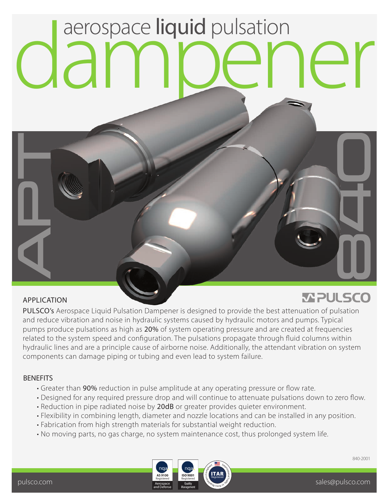## aerospace liquid pulsation

## APPLICATION

**Q**<br>Q

T

## **MPULSCO**

PULSCO's Aerospace Liquid Pulsation Dampener is designed to provide the best attenuation of pulsation and reduce vibration and noise in hydraulic systems caused by hydraulic motors and pumps. Typical pumps produce pulsations as high as 20% of system operating pressure and are created at frequencies related to the system speed and configuration. The pulsations propagate through fluid columns within hydraulic lines and are a principle cause of airborne noise. Additionally, the attendant vibration on system components can damage piping or tubing and even lead to system failure.

## **BENEFITS**

- Greater than 90% reduction in pulse amplitude at any operating pressure or flow rate.
- Designed for any required pressure drop and will continue to attenuate pulsations down to zero flow.
- Reduction in pipe radiated noise by 20dB or greater provides quieter environment.
- Flexibility in combining length, diameter and nozzle locations and can be installed in any position.
- Fabrication from high strength materials for substantial weight reduction.
- No moving parts, no gas charge, no system maintenance cost, thus prolonged system life.



840-2001